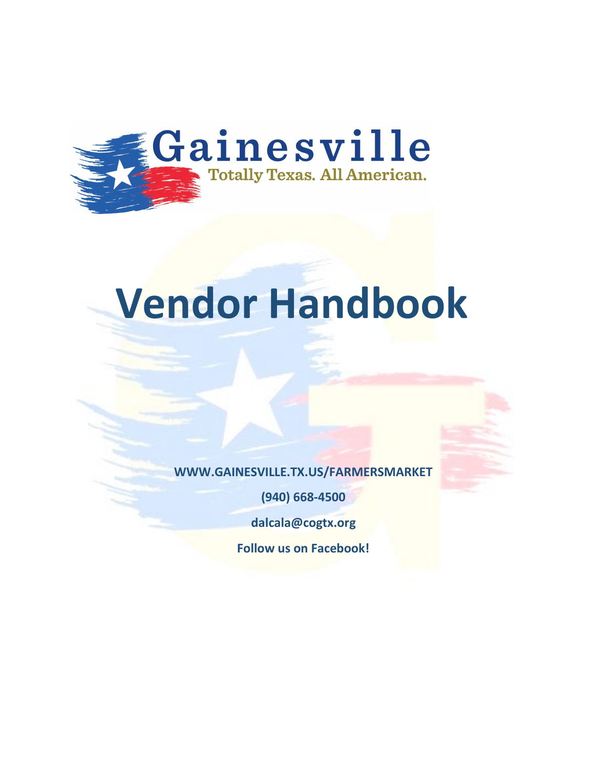

# **Vendor Handbook**

**WWW.GAINESVILLE.TX.US/FARMERSMARKET** 

**(940) 668-4500** 

**dalcala@cogtx.org**

**Follow us on Facebook!**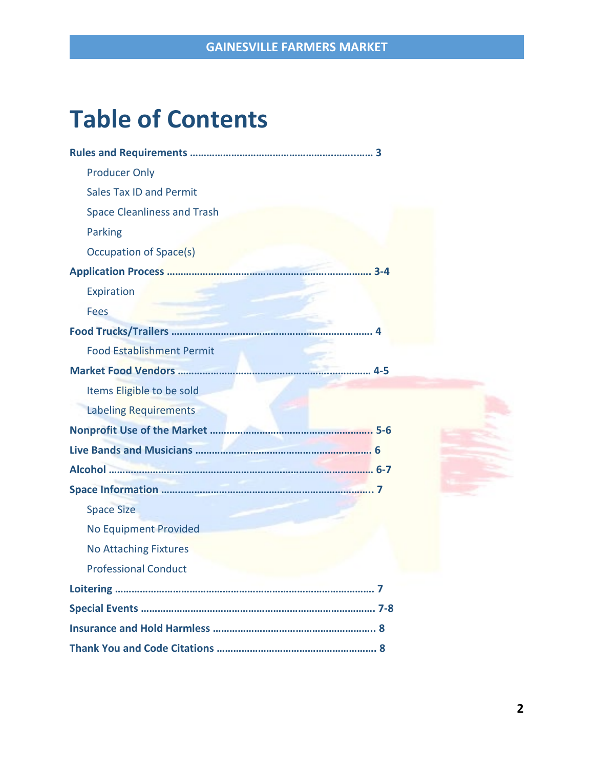### **Table of Contents**

| <b>Producer Only</b>               |  |
|------------------------------------|--|
| <b>Sales Tax ID and Permit</b>     |  |
| <b>Space Cleanliness and Trash</b> |  |
| Parking                            |  |
| Occupation of Space(s)             |  |
|                                    |  |
| Expiration                         |  |
| <b>Fees</b>                        |  |
|                                    |  |
| <b>Food Establishment Permit</b>   |  |
|                                    |  |
| Items Eligible to be sold          |  |
| <b>Labeling Requirements</b>       |  |
|                                    |  |
|                                    |  |
|                                    |  |
|                                    |  |
| <b>Space Size</b>                  |  |
| <b>No Equipment Provided</b>       |  |
| <b>No Attaching Fixtures</b>       |  |
| <b>Professional Conduct</b>        |  |
|                                    |  |
|                                    |  |
|                                    |  |
|                                    |  |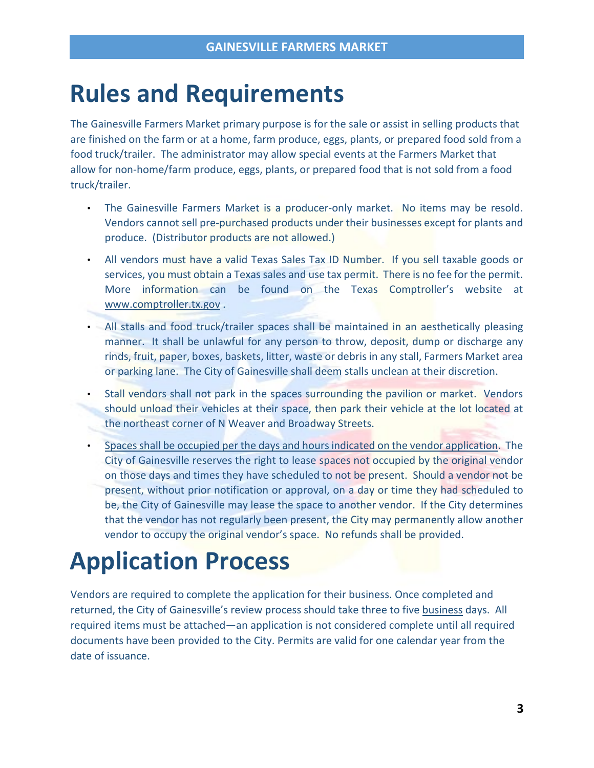### **Rules and Requirements**

The Gainesville Farmers Market primary purpose is for the sale or assist in selling products that are finished on the farm or at a home, farm produce, eggs, plants, or prepared food sold from a food truck/trailer. The administrator may allow special events at the Farmers Market that allow for non-home/farm produce, eggs, plants, or prepared food that is not sold from a food truck/trailer.

- The Gainesville Farmers Market is a producer-only market. No items may be resold. Vendors cannot sell pre-purchased products under their businesses except for plants and produce. (Distributor products are not allowed.)
- All vendors must have a valid Texas Sales Tax ID Number. If you sell taxable goods or services, you must obtain a Texas sales and use tax permit. There is no fee for the permit. More information can be found on the Texas Comptroller's website at [www.comptroller.tx.gov](http://www.comptroller.tx.gov/) .
- All stalls and food truck/trailer spaces shall be maintained in an aesthetically pleasing manner. It shall be unlawful for any person to throw, deposit, dump or discharge any rinds, fruit, paper, boxes, baskets, litter, waste or debris in any stall, Farmers Market area or parking lane. The City of Gainesville shall deem stalls unclean at their discretion.
- Stall vendors shall not park in the spaces surrounding the pavilion or market. Vendors should unload their vehicles at their space, then park their vehicle at the lot located at the northeast corner of N Weaver and Broadway Streets.
- Spaces shall be occupied per the days and hours indicated on the vendor application. The City of Gainesville reserves the right to lease spaces not occupied by the original vendor on those days and times they have scheduled to not be present. Should a vendor not be present, without prior notification or approval, on a day or time they had scheduled to be, the City of Gainesville may lease the space to another vendor. If the City determines that the vendor has not regularly been present, the City may permanently allow another vendor to occupy the original vendor's space. No refunds shall be provided.

### **Application Process**

Vendors are required to complete the application for their business. Once completed and returned, the City of Gainesville's review process should take three to five business days. All required items must be attached—an application is not considered complete until all required documents have been provided to the City. Permits are valid for one calendar year from the date of issuance.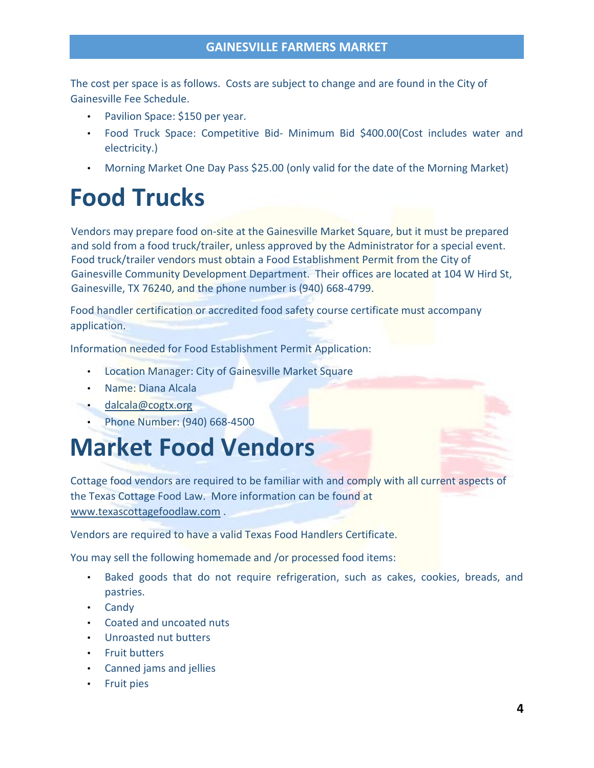The cost per space is as follows. Costs are subject to change and are found in the City of Gainesville Fee Schedule.

- Pavilion Space: \$150 per year.
- Food Truck Space: Competitive Bid- Minimum Bid \$400.00(Cost includes water and electricity.)
- Morning Market One Day Pass \$25.00 (only valid for the date of the Morning Market)

### **Food Trucks**

Vendors may prepare food on-site at the Gainesville Market Square, but it must be prepared and sold from a food truck/trailer, unless approved by the Administrator for a special event. Food truck/trailer vendors must obtain a Food Establishment Permit from the City of Gainesville Community Development Department. Their offices are located at 104 W Hird St, Gainesville, TX 76240, and the phone number is (940) 668-4799.

Food handler certification or accredited food safety course certificate must accompany application.

Information needed for Food Establishment Permit Application:

- Location Manager: City of Gainesville Market Square
- Name: Diana Alcala
- [dalcala@cogtx.org](mailto:dalcala@cogtx.org)
	- Phone Number: (940) 668-4500

### **Market Food Vendors**

Cottage food vendors are required to be familiar with and comply with all current aspects of the Texas Cottage Food Law. More information can be found at [www.texascottagefoodlaw.com](http://www.texascottagefoodlaw.com/) .

Vendors are required to have a valid Texas Food Handlers Certificate.

You may sell the following homemade and /or processed food items:

- Baked goods that do not require refrigeration, such as cakes, cookies, breads, and pastries.
- Candy
- Coated and uncoated nuts
- Unroasted nut butters
- Fruit butters
- Canned jams and jellies
- Fruit pies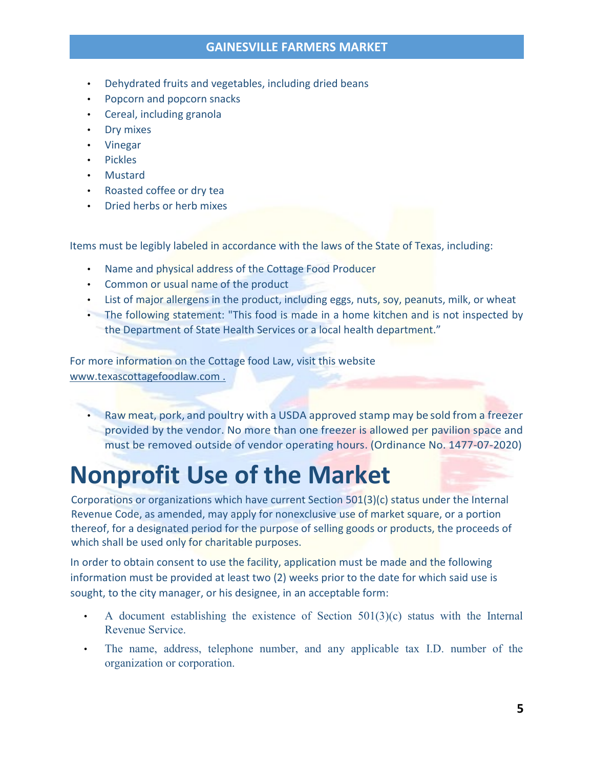#### **GAINESVILLE FARMERS MARKET**

- Dehydrated fruits and vegetables, including dried beans
- Popcorn and popcorn snacks
- Cereal, including granola
- Dry mixes
- Vinegar
- Pickles
- Mustard
- Roasted coffee or dry tea
- Dried herbs or herb mixes

Items must be legibly labeled in accordance with the laws of the State of Texas, including:

- Name and physical address of the Cottage Food Producer
- Common or usual name of the product
- List of major allergens in the product, including eggs, nuts, soy, peanuts, milk, or wheat
- The following statement: "This food is made in a home kitchen and is not inspected by the Department of State Health Services or a local health department."

For more information on the Cottage food Law, visit this website [www.texascottagefoodlaw.com](http://www.texascottagefoodlaw.com/) .

• Raw meat, pork, and poultry with a USDA approved stamp may be sold from a freezer provided by the vendor. No more than one freezer is allowed per pavilion space and must be removed outside of vendor operating hours. (Ordinance No. 1477-07-2020)

### **Nonprofit Use of the Market**

Corporations or organizations which have current Section 501(3)(c) status under the Internal Revenue Code, as amended, may apply for nonexclusive use of market square, or a portion thereof, for a designated period for the purpose of selling goods or products, the proceeds of which shall be used only for charitable purposes.

In order to obtain consent to use the facility, application must be made and the following information must be provided at least two (2) weeks prior to the date for which said use is sought, to the city manager, or his designee, in an acceptable form:

- A document establishing the existence of Section  $501(3)(c)$  status with the Internal Revenue Service.
- The name, address, telephone number, and any applicable tax I.D. number of the organization or corporation.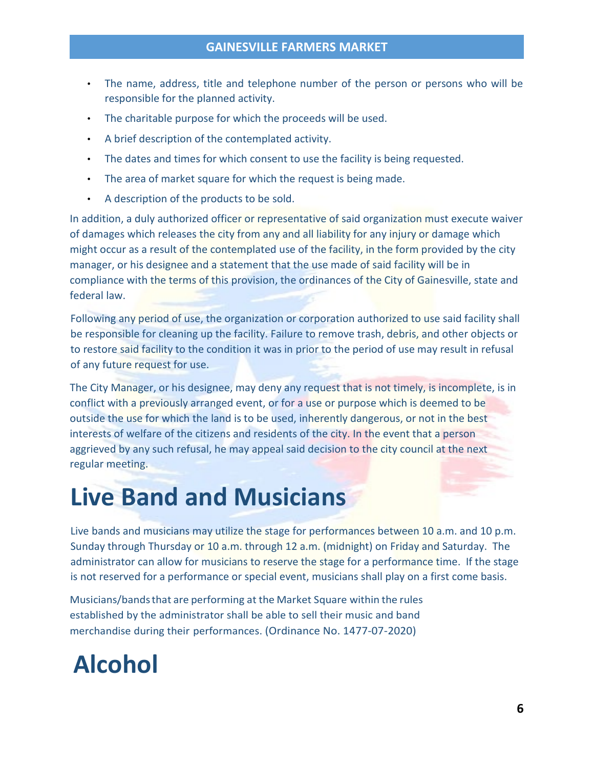#### **GAINESVILLE FARMERS MARKET**

- The name, address, title and telephone number of the person or persons who will be responsible for the planned activity.
- The charitable purpose for which the proceeds will be used.
- A brief description of the contemplated activity.
- The dates and times for which consent to use the facility is being requested.
- The area of market square for which the request is being made.
- A description of the products to be sold.

In addition, a duly authorized officer or representative of said organization must execute waiver of damages which releases the city from any and all liability for any injury or damage which might occur as a result of the contemplated use of the facility, in the form provided by the city manager, or his designee and a statement that the use made of said facility will be in compliance with the terms of this provision, the ordinances of the City of Gainesville, state and federal law.

Following any period of use, the organization or corporation authorized to use said facility shall be responsible for cleaning up the facility. Failure to remove trash, debris, and other objects or to restore said facility to the condition it was in prior to the period of use may result in refusal of any future request for use.

The City Manager, or his designee, may deny any request that is not timely, is incomplete, is in conflict with a previously arranged event, or for a use or purpose which is deemed to be outside the use for which the land is to be used, inherently dangerous, or not in the best interests of welfare of the citizens and residents of the city. In the event that a person aggrieved by any such refusal, he may appeal said decision to the city council at the next regular meeting.

### **Live Band and Musicians**

Live bands and musicians may utilize the stage for performances between 10 a.m. and 10 p.m. Sunday through Thursday or 10 a.m. through 12 a.m. (midnight) on Friday and Saturday. The administrator can allow for musicians to reserve the stage for a performance time. If the stage is not reserved for a performance or special event, musicians shall play on a first come basis.

Musicians/bandsthat are performing at the Market Square within the rules established by the administrator shall be able to sell their music and band merchandise during their performances. (Ordinance No. 1477-07-2020)

## **Alcohol**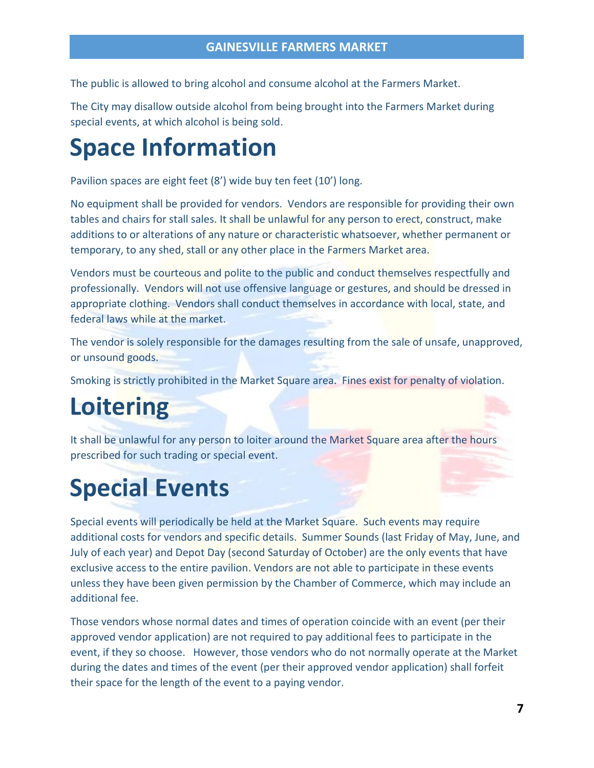The public is allowed to bring alcohol and consume alcohol at the Farmers Market.

The City may disallow outside alcohol from being brought into the Farmers Market during special events, at which alcohol is being sold.

### **Space Information**

Pavilion spaces are eight feet (8') wide buy ten feet (10') long.

No equipment shall be provided for vendors. Vendors are responsible for providing their own tables and chairs for stall sales. It shall be unlawful for any person to erect, construct, make additions to or alterations of any nature or characteristic whatsoever, whether permanent or temporary, to any shed, stall or any other place in the Farmers Market area.

Vendors must be courteous and polite to the public and conduct themselves respectfully and professionally. Vendors will not use offensive language or gestures, and should be dressed in appropriate clothing. Vendors shall conduct themselves in accordance with local, state, and federal laws while at the market.

The vendor is solely responsible for the damages resulting from the sale of unsafe, unapproved, or unsound goods.

Smoking is strictly prohibited in the Market Square area. Fines exist for penalty of violation.

### **Loitering**

It shall be unlawful for any person to loiter around the Market Square area after the hours prescribed for such trading or special event.

### **Special Events**

Special events will periodically be held at the Market Square. Such events may require additional costs for vendors and specific details. Summer Sounds (last Friday of May, June, and July of each year) and Depot Day (second Saturday of October) are the only events that have exclusive access to the entire pavilion. Vendors are not able to participate in these events unless they have been given permission by the Chamber of Commerce, which may include an additional fee.

Those vendors whose normal dates and times of operation coincide with an event (per their approved vendor application) are not required to pay additional fees to participate in the event, if they so choose. However, those vendors who do not normally operate at the Market during the dates and times of the event (per their approved vendor application) shall forfeit their space for the length of the event to a paying vendor.